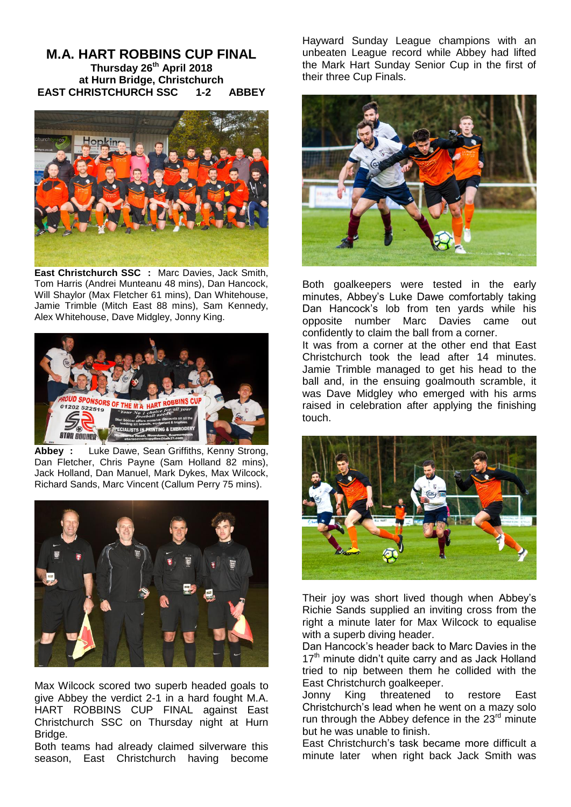## **M.A. HART ROBBINS CUP FINAL Thursday 26th April 2018 at Hurn Bridge, Christchurch EAST CHRISTCHURCH SSC 1-2 ABBEY**



**East Christchurch SSC :** Marc Davies, Jack Smith, Tom Harris (Andrei Munteanu 48 mins), Dan Hancock, Will Shaylor (Max Fletcher 61 mins), Dan Whitehouse, Jamie Trimble (Mitch East 88 mins), Sam Kennedy, Alex Whitehouse, Dave Midgley, Jonny King.



**Abbey :** Luke Dawe, Sean Griffiths, Kenny Strong, Dan Fletcher, Chris Payne (Sam Holland 82 mins), Jack Holland, Dan Manuel, Mark Dykes, Max Wilcock, Richard Sands, Marc Vincent (Callum Perry 75 mins).



Max Wilcock scored two superb headed goals to give Abbey the verdict 2-1 in a hard fought M.A. HART ROBBINS CUP FINAL against East Christchurch SSC on Thursday night at Hurn Bridge.

Both teams had already claimed silverware this season, East Christchurch having become

Hayward Sunday League champions with an unbeaten League record while Abbey had lifted the Mark Hart Sunday Senior Cup in the first of their three Cup Finals.



Both goalkeepers were tested in the early minutes, Abbey's Luke Dawe comfortably taking Dan Hancock's lob from ten yards while his opposite number Marc Davies came out confidently to claim the ball from a corner.

It was from a corner at the other end that East Christchurch took the lead after 14 minutes. Jamie Trimble managed to get his head to the ball and, in the ensuing goalmouth scramble, it was Dave Midgley who emerged with his arms raised in celebration after applying the finishing touch.



Their joy was short lived though when Abbey's Richie Sands supplied an inviting cross from the right a minute later for Max Wilcock to equalise with a superb diving header.

Dan Hancock's header back to Marc Davies in the 17<sup>th</sup> minute didn't quite carry and as Jack Holland tried to nip between them he collided with the East Christchurch goalkeeper.

Jonny King threatened to restore East Christchurch's lead when he went on a mazy solo run through the Abbey defence in the  $23<sup>rd</sup>$  minute but he was unable to finish.

East Christchurch's task became more difficult a minute later when right back Jack Smith was